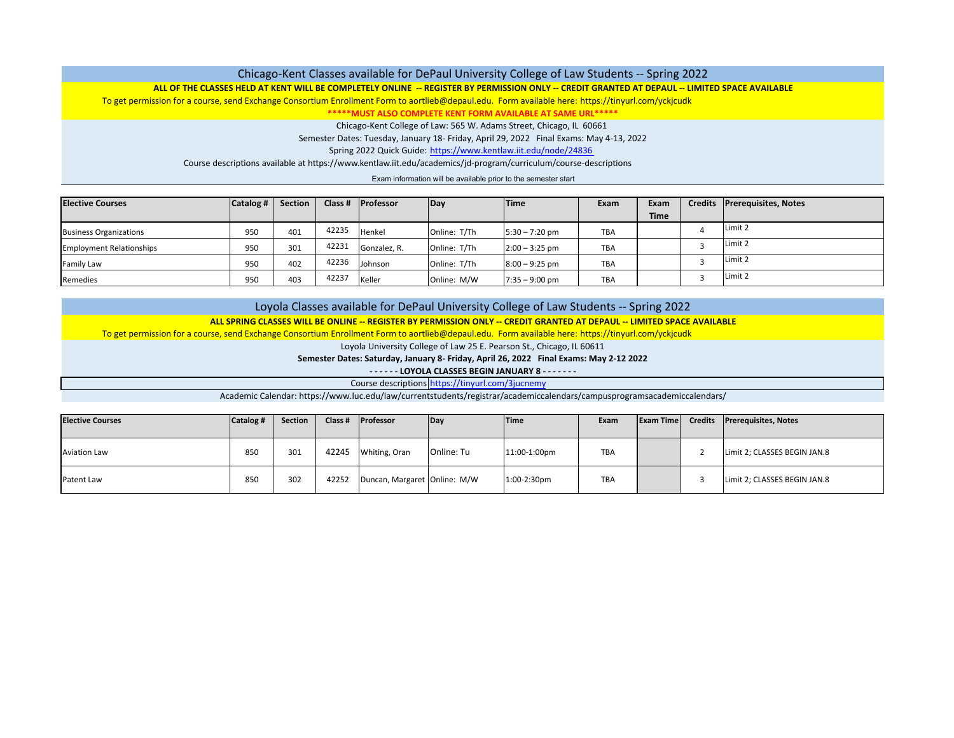### Chicago‐Kent Classes available for DePaul University College of Law Students ‐‐ Spring 2022

### <u>ALL OF THE CLASSES HELD AT KENT WILL BE COMPLETELY ONLINE -- REGISTER BY PERMISSION ONLY -- CREDIT GRANTED AT DEPAUL -- LIMITED SPACE AVAILABLE</u>

To get permission for <sup>a</sup> course, send Exchange Consortium Enrollment Form to aortlieb@depaul.edu. Form available here: https://tinyurl.com/yckjcudk

**\*\*\*\*\*MUST ALSO COMPLETE KENT FORM AVAILABLE AT SAME URL\*\*\*\*\***

Chicago‐Kent College of Law: 565 W. Adams Street, Chicago, IL 60661

Semester Dates: Tuesday, January 18‐ Friday, April 29, 2022 Final Exams: May 4‐13, 2022

Spring 2022 Quick Guide: https://www.kentlaw.iit.edu/node/24836

Course descriptions available at https://www.kentlaw.iit.edu/academics/jd-program/curriculum/course-descriptions

Exam information will be available prior to the semester start

| <b>Elective Courses</b>         | Catalog # | <b>Section</b> | Class # | <b>Professor</b> | Day          | <b>Time</b>      | Exam | Exam        | Credits Prerequisites, Notes |
|---------------------------------|-----------|----------------|---------|------------------|--------------|------------------|------|-------------|------------------------------|
|                                 |           |                |         |                  |              |                  |      | <b>Time</b> |                              |
| <b>Business Organizations</b>   | 950       | 401            | 42235   | Henkel           | Online: T/Th | $5:30 - 7:20$ pm | TBA  |             | Limit 2                      |
| <b>Employment Relationships</b> | 950       | 301            | 42231   | Gonzalez, R.     | Online: T/Th | $2:00 - 3:25$ pm | TBA  |             | Limit 2                      |
| <b>Family Law</b>               | 950       | 402            | 42236   | Johnson          | Online: T/Th | $8:00 - 9:25$ pm | TBA  |             | Limit 2                      |
| Remedies                        | 950       | 403            | 42237   | Keller           | Online: M/W  | $7:35 - 9:00$ pm | TBA  |             | Limit 2                      |

# Loyola Classes available for DePaul University College of Law Students ‐‐ Spring 2022

### <u>ALL SPRING CLASSES WILL BE ONLINE -- REGISTER BY PERMISSION ONLY -- CREDIT GRANTED AT DEPAUL -- LIMITED SPACE AVAILABLE</u>

To get permission for <sup>a</sup> course, send Exchange Consortium Enrollment Form to aortlieb@depaul.edu. Form available here: https://tinyurl.com/yckjcudk

Loyola University College of Law 25 E. Pearson St., Chicago, IL 60611

**Semester Dates: Saturday, January 8‐ Friday, April 26, 2022 Final Exams: May 2‐12 2022**

**‐ ‐ ‐ ‐ ‐ ‐ LOYOLA CLASSES BEGIN JANUARY 8 ‐ ‐ ‐ ‐ ‐ ‐ ‐**

Course descriptions https://tinyurl.com/3jucnemy

Academic Calendar: https://www.luc.edu/law/currentstudents/registrar/academiccalendars/campusprogramsacademiccalendars/

| <b>Elective Courses</b> | Catalog # | Section | Class # | <b>Professor</b>             | Day        | <b>Time</b>  | Exam       | <b>Exam Time</b> | <b>Credits</b> | <b>Prerequisites, Notes</b>  |
|-------------------------|-----------|---------|---------|------------------------------|------------|--------------|------------|------------------|----------------|------------------------------|
| <b>Aviation Law</b>     | 850       | 301     | 42245   | Whiting, Oran                | Online: Tu | 11:00-1:00pm | <b>TBA</b> |                  |                | Limit 2; CLASSES BEGIN JAN.8 |
| Patent Law              | 850       | 302     | 42252   | Duncan, Margaret Online: M/W |            | 1:00-2:30pm  | <b>TBA</b> |                  |                | Limit 2; CLASSES BEGIN JAN.8 |